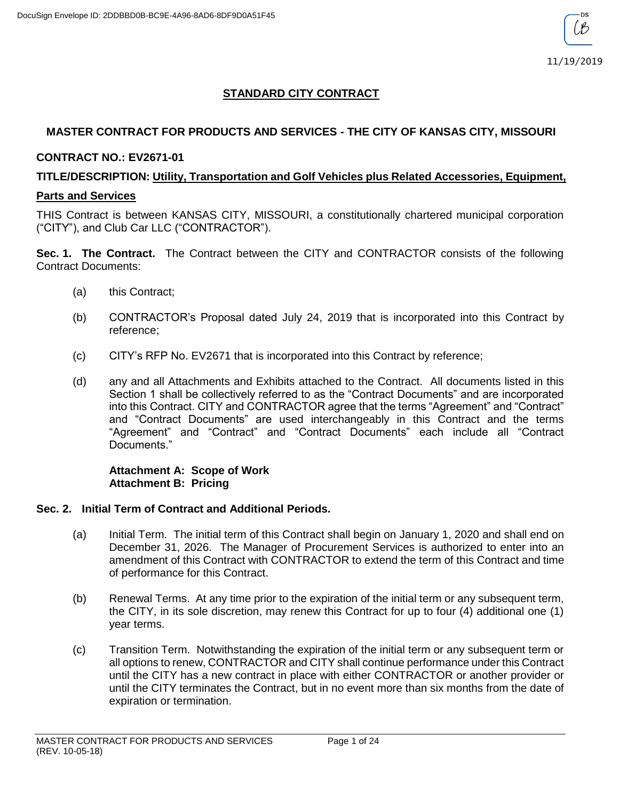# **STANDARD CITY CONTRACT**

## **MASTER CONTRACT FOR PRODUCTS AND SERVICES - THE CITY OF KANSAS CITY, MISSOURI**

### **CONTRACT NO.: EV2671-01**

## **TITLE/DESCRIPTION: Utility, Transportation and Golf Vehicles plus Related Accessories, Equipment,**

#### **Parts and Services**

THIS Contract is between KANSAS CITY, MISSOURI, a constitutionally chartered municipal corporation ("CITY"), and Club Car LLC ("CONTRACTOR").

**Sec. 1. The Contract.** The Contract between the CITY and CONTRACTOR consists of the following Contract Documents:

- (a) this Contract;
- (b) CONTRACTOR's Proposal dated July 24, 2019 that is incorporated into this Contract by reference;
- (c) CITY's RFP No. EV2671 that is incorporated into this Contract by reference;
- (d) any and all Attachments and Exhibits attached to the Contract. All documents listed in this Section 1 shall be collectively referred to as the "Contract Documents" and are incorporated into this Contract. CITY and CONTRACTOR agree that the terms "Agreement" and "Contract" and "Contract Documents" are used interchangeably in this Contract and the terms "Agreement" and "Contract" and "Contract Documents" each include all "Contract Documents."

### **Attachment A: Scope of Work Attachment B: Pricing**

## **Sec. 2. Initial Term of Contract and Additional Periods.**

- (a) Initial Term. The initial term of this Contract shall begin on January 1, 2020 and shall end on December 31, 2026. The Manager of Procurement Services is authorized to enter into an amendment of this Contract with CONTRACTOR to extend the term of this Contract and time of performance for this Contract.
- (b) Renewal Terms. At any time prior to the expiration of the initial term or any subsequent term, the CITY, in its sole discretion, may renew this Contract for up to four (4) additional one (1) year terms.
- (c) Transition Term. Notwithstanding the expiration of the initial term or any subsequent term or all options to renew, CONTRACTOR and CITY shall continue performance under this Contract until the CITY has a new contract in place with either CONTRACTOR or another provider or until the CITY terminates the Contract, but in no event more than six months from the date of expiration or termination.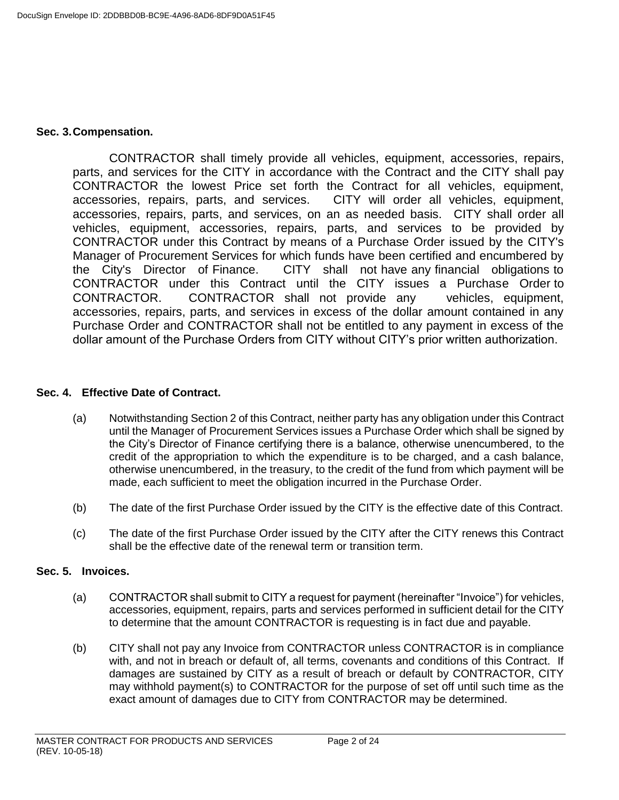#### **Sec. 3.Compensation.**

CONTRACTOR shall timely provide all vehicles, equipment, accessories, repairs, parts, and services for the CITY in accordance with the Contract and the CITY shall pay CONTRACTOR the lowest Price set forth the Contract for all vehicles, equipment, accessories, repairs, parts, and services. CITY will order all vehicles, equipment, accessories, repairs, parts, and services, on an as needed basis. CITY shall order all vehicles, equipment, accessories, repairs, parts, and services to be provided by CONTRACTOR under this Contract by means of a Purchase Order issued by the CITY's Manager of Procurement Services for which funds have been certified and encumbered by the City's Director of Finance. CITY shall not have any financial obligations to CONTRACTOR under this Contract until the CITY issues a Purchase Order to CONTRACTOR. CONTRACTOR shall not provide any vehicles, equipment, accessories, repairs, parts, and services in excess of the dollar amount contained in any Purchase Order and CONTRACTOR shall not be entitled to any payment in excess of the dollar amount of the Purchase Orders from CITY without CITY's prior written authorization.

### **Sec. 4. Effective Date of Contract.**

- (a) Notwithstanding Section 2 of this Contract, neither party has any obligation under this Contract until the Manager of Procurement Services issues a Purchase Order which shall be signed by the City's Director of Finance certifying there is a balance, otherwise unencumbered, to the credit of the appropriation to which the expenditure is to be charged, and a cash balance, otherwise unencumbered, in the treasury, to the credit of the fund from which payment will be made, each sufficient to meet the obligation incurred in the Purchase Order.
- (b) The date of the first Purchase Order issued by the CITY is the effective date of this Contract.
- (c) The date of the first Purchase Order issued by the CITY after the CITY renews this Contract shall be the effective date of the renewal term or transition term.

#### **Sec. 5. Invoices.**

- (a) CONTRACTOR shall submit to CITY a request for payment (hereinafter "Invoice") for vehicles, accessories, equipment, repairs, parts and services performed in sufficient detail for the CITY to determine that the amount CONTRACTOR is requesting is in fact due and payable.
- (b) CITY shall not pay any Invoice from CONTRACTOR unless CONTRACTOR is in compliance with, and not in breach or default of, all terms, covenants and conditions of this Contract. If damages are sustained by CITY as a result of breach or default by CONTRACTOR, CITY may withhold payment(s) to CONTRACTOR for the purpose of set off until such time as the exact amount of damages due to CITY from CONTRACTOR may be determined.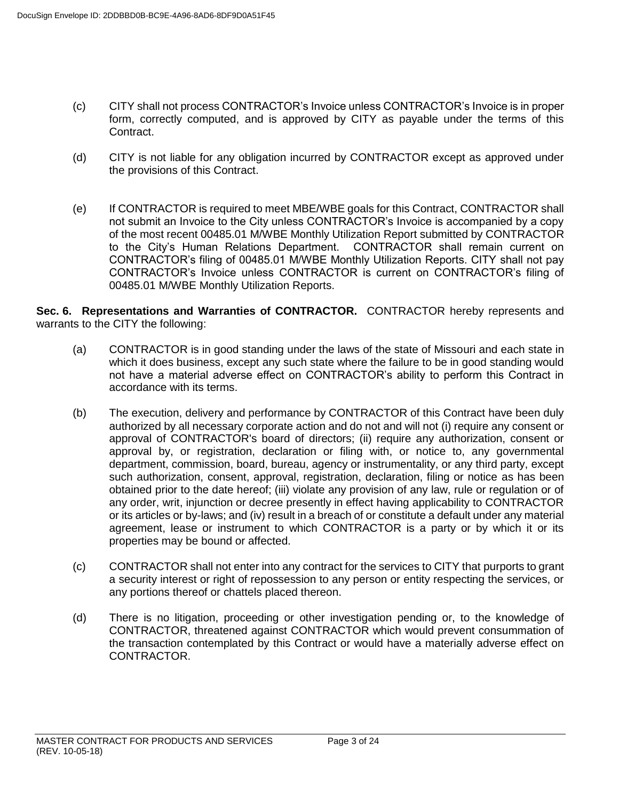- (c) CITY shall not process CONTRACTOR's Invoice unless CONTRACTOR's Invoice is in proper form, correctly computed, and is approved by CITY as payable under the terms of this Contract.
- (d) CITY is not liable for any obligation incurred by CONTRACTOR except as approved under the provisions of this Contract.
- (e) If CONTRACTOR is required to meet MBE/WBE goals for this Contract, CONTRACTOR shall not submit an Invoice to the City unless CONTRACTOR's Invoice is accompanied by a copy of the most recent 00485.01 M/WBE Monthly Utilization Report submitted by CONTRACTOR to the City's Human Relations Department. CONTRACTOR shall remain current on CONTRACTOR's filing of 00485.01 M/WBE Monthly Utilization Reports. CITY shall not pay CONTRACTOR's Invoice unless CONTRACTOR is current on CONTRACTOR's filing of 00485.01 M/WBE Monthly Utilization Reports.

**Sec. 6. Representations and Warranties of CONTRACTOR.** CONTRACTOR hereby represents and warrants to the CITY the following:

- (a) CONTRACTOR is in good standing under the laws of the state of Missouri and each state in which it does business, except any such state where the failure to be in good standing would not have a material adverse effect on CONTRACTOR's ability to perform this Contract in accordance with its terms.
- (b) The execution, delivery and performance by CONTRACTOR of this Contract have been duly authorized by all necessary corporate action and do not and will not (i) require any consent or approval of CONTRACTOR's board of directors; (ii) require any authorization, consent or approval by, or registration, declaration or filing with, or notice to, any governmental department, commission, board, bureau, agency or instrumentality, or any third party, except such authorization, consent, approval, registration, declaration, filing or notice as has been obtained prior to the date hereof; (iii) violate any provision of any law, rule or regulation or of any order, writ, injunction or decree presently in effect having applicability to CONTRACTOR or its articles or by-laws; and (iv) result in a breach of or constitute a default under any material agreement, lease or instrument to which CONTRACTOR is a party or by which it or its properties may be bound or affected.
- (c) CONTRACTOR shall not enter into any contract for the services to CITY that purports to grant a security interest or right of repossession to any person or entity respecting the services, or any portions thereof or chattels placed thereon.
- (d) There is no litigation, proceeding or other investigation pending or, to the knowledge of CONTRACTOR, threatened against CONTRACTOR which would prevent consummation of the transaction contemplated by this Contract or would have a materially adverse effect on CONTRACTOR.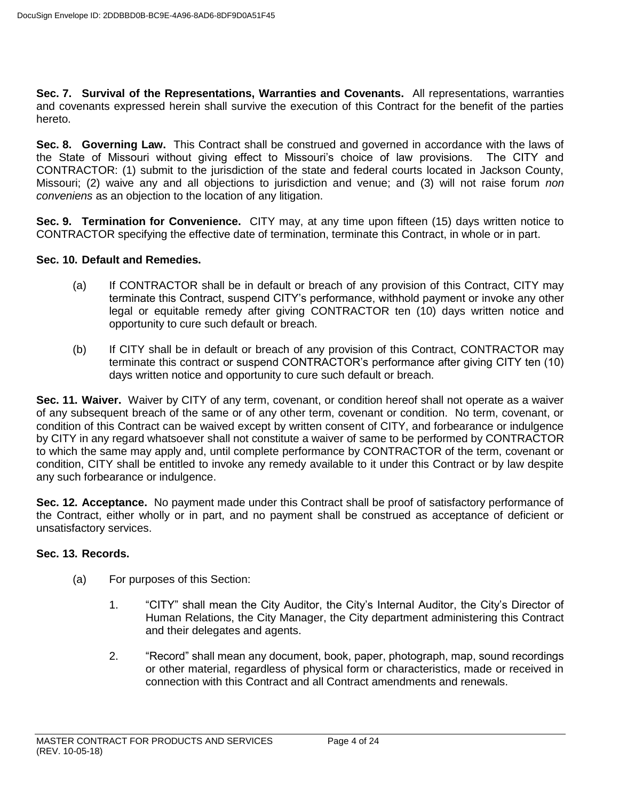**Sec. 7. Survival of the Representations, Warranties and Covenants.** All representations, warranties and covenants expressed herein shall survive the execution of this Contract for the benefit of the parties hereto.

**Sec. 8. Governing Law.** This Contract shall be construed and governed in accordance with the laws of the State of Missouri without giving effect to Missouri's choice of law provisions. The CITY and CONTRACTOR: (1) submit to the jurisdiction of the state and federal courts located in Jackson County, Missouri; (2) waive any and all objections to jurisdiction and venue; and (3) will not raise forum *non conveniens* as an objection to the location of any litigation.

**Sec. 9. Termination for Convenience.** CITY may, at any time upon fifteen (15) days written notice to CONTRACTOR specifying the effective date of termination, terminate this Contract, in whole or in part.

## **Sec. 10. Default and Remedies.**

- (a) If CONTRACTOR shall be in default or breach of any provision of this Contract, CITY may terminate this Contract, suspend CITY's performance, withhold payment or invoke any other legal or equitable remedy after giving CONTRACTOR ten (10) days written notice and opportunity to cure such default or breach.
- (b) If CITY shall be in default or breach of any provision of this Contract, CONTRACTOR may terminate this contract or suspend CONTRACTOR's performance after giving CITY ten (10) days written notice and opportunity to cure such default or breach.

**Sec. 11. Waiver.** Waiver by CITY of any term, covenant, or condition hereof shall not operate as a waiver of any subsequent breach of the same or of any other term, covenant or condition. No term, covenant, or condition of this Contract can be waived except by written consent of CITY, and forbearance or indulgence by CITY in any regard whatsoever shall not constitute a waiver of same to be performed by CONTRACTOR to which the same may apply and, until complete performance by CONTRACTOR of the term, covenant or condition, CITY shall be entitled to invoke any remedy available to it under this Contract or by law despite any such forbearance or indulgence.

**Sec. 12. Acceptance.** No payment made under this Contract shall be proof of satisfactory performance of the Contract, either wholly or in part, and no payment shall be construed as acceptance of deficient or unsatisfactory services.

## **Sec. 13. Records.**

- (a) For purposes of this Section:
	- 1. "CITY" shall mean the City Auditor, the City's Internal Auditor, the City's Director of Human Relations, the City Manager, the City department administering this Contract and their delegates and agents.
	- 2. "Record" shall mean any document, book, paper, photograph, map, sound recordings or other material, regardless of physical form or characteristics, made or received in connection with this Contract and all Contract amendments and renewals.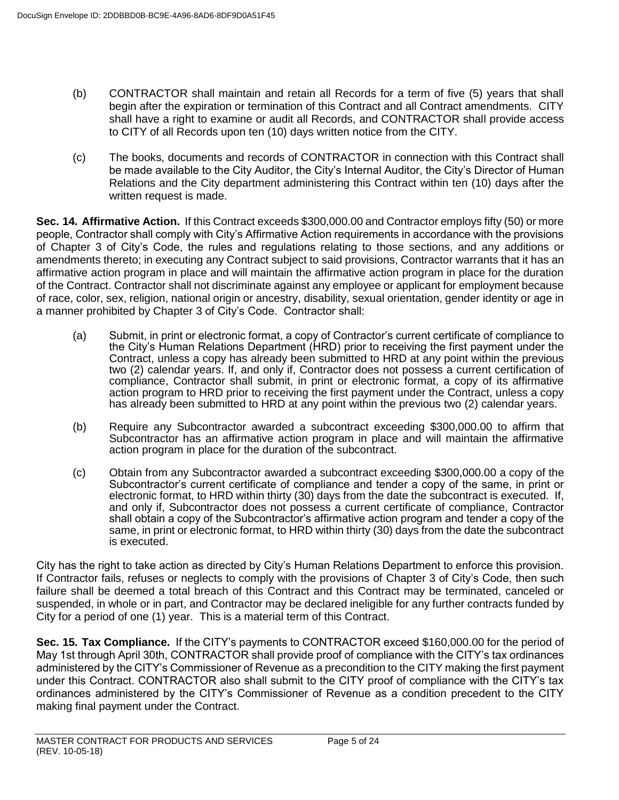- (b) CONTRACTOR shall maintain and retain all Records for a term of five (5) years that shall begin after the expiration or termination of this Contract and all Contract amendments. CITY shall have a right to examine or audit all Records, and CONTRACTOR shall provide access to CITY of all Records upon ten (10) days written notice from the CITY.
- (c) The books, documents and records of CONTRACTOR in connection with this Contract shall be made available to the City Auditor, the City's Internal Auditor, the City's Director of Human Relations and the City department administering this Contract within ten (10) days after the written request is made.

**Sec. 14. Affirmative Action.** If this Contract exceeds \$300,000.00 and Contractor employs fifty (50) or more people, Contractor shall comply with City's Affirmative Action requirements in accordance with the provisions of Chapter 3 of City's Code, the rules and regulations relating to those sections, and any additions or amendments thereto; in executing any Contract subject to said provisions, Contractor warrants that it has an affirmative action program in place and will maintain the affirmative action program in place for the duration of the Contract. Contractor shall not discriminate against any employee or applicant for employment because of race, color, sex, religion, national origin or ancestry, disability, sexual orientation, gender identity or age in a manner prohibited by Chapter 3 of City's Code. Contractor shall:

- (a) Submit, in print or electronic format, a copy of Contractor's current certificate of compliance to the City's Human Relations Department (HRD) prior to receiving the first payment under the Contract, unless a copy has already been submitted to HRD at any point within the previous two (2) calendar years. If, and only if, Contractor does not possess a current certification of compliance, Contractor shall submit, in print or electronic format, a copy of its affirmative action program to HRD prior to receiving the first payment under the Contract, unless a copy has already been submitted to HRD at any point within the previous two (2) calendar years.
- (b) Require any Subcontractor awarded a subcontract exceeding \$300,000.00 to affirm that Subcontractor has an affirmative action program in place and will maintain the affirmative action program in place for the duration of the subcontract.
- (c) Obtain from any Subcontractor awarded a subcontract exceeding \$300,000.00 a copy of the Subcontractor's current certificate of compliance and tender a copy of the same, in print or electronic format, to HRD within thirty (30) days from the date the subcontract is executed. If, and only if, Subcontractor does not possess a current certificate of compliance, Contractor shall obtain a copy of the Subcontractor's affirmative action program and tender a copy of the same, in print or electronic format, to HRD within thirty (30) days from the date the subcontract is executed.

City has the right to take action as directed by City's Human Relations Department to enforce this provision. If Contractor fails, refuses or neglects to comply with the provisions of Chapter 3 of City's Code, then such failure shall be deemed a total breach of this Contract and this Contract may be terminated, canceled or suspended, in whole or in part, and Contractor may be declared ineligible for any further contracts funded by City for a period of one (1) year. This is a material term of this Contract.

**Sec. 15. Tax Compliance.** If the CITY's payments to CONTRACTOR exceed \$160,000.00 for the period of May 1st through April 30th, CONTRACTOR shall provide proof of compliance with the CITY's tax ordinances administered by the CITY's Commissioner of Revenue as a precondition to the CITY making the first payment under this Contract. CONTRACTOR also shall submit to the CITY proof of compliance with the CITY's tax ordinances administered by the CITY's Commissioner of Revenue as a condition precedent to the CITY making final payment under the Contract.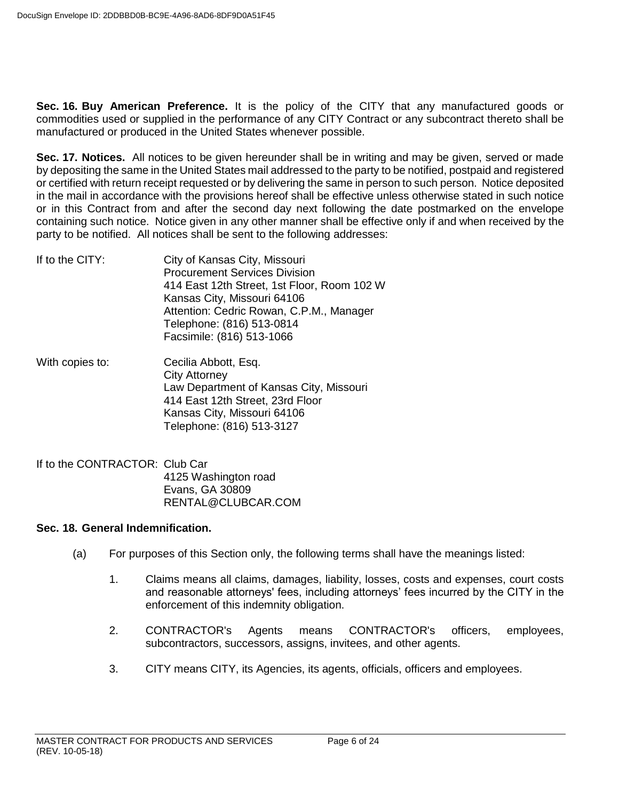**Sec. 16. Buy American Preference.** It is the policy of the CITY that any manufactured goods or commodities used or supplied in the performance of any CITY Contract or any subcontract thereto shall be manufactured or produced in the United States whenever possible.

**Sec. 17. Notices.** All notices to be given hereunder shall be in writing and may be given, served or made by depositing the same in the United States mail addressed to the party to be notified, postpaid and registered or certified with return receipt requested or by delivering the same in person to such person. Notice deposited in the mail in accordance with the provisions hereof shall be effective unless otherwise stated in such notice or in this Contract from and after the second day next following the date postmarked on the envelope containing such notice. Notice given in any other manner shall be effective only if and when received by the party to be notified. All notices shall be sent to the following addresses:

| If to the CITY: | City of Kansas City, Missouri               |
|-----------------|---------------------------------------------|
|                 | <b>Procurement Services Division</b>        |
|                 | 414 East 12th Street, 1st Floor, Room 102 W |
|                 | Kansas City, Missouri 64106                 |
|                 | Attention: Cedric Rowan, C.P.M., Manager    |
|                 | Telephone: (816) 513-0814                   |
|                 | Facsimile: (816) 513-1066                   |
|                 |                                             |

- With copies to: Cecilia Abbott, Esq. City Attorney Law Department of Kansas City, Missouri 414 East 12th Street, 23rd Floor Kansas City, Missouri 64106 Telephone: (816) 513-3127
- If to the CONTRACTOR: Club Car 4125 Washington road Evans, GA 30809 RENTAL@CLUBCAR.COM

## **Sec. 18. General Indemnification.**

- (a) For purposes of this Section only, the following terms shall have the meanings listed:
	- 1. Claims means all claims, damages, liability, losses, costs and expenses, court costs and reasonable attorneys' fees, including attorneys' fees incurred by the CITY in the enforcement of this indemnity obligation.
	- 2. CONTRACTOR's Agents means CONTRACTOR's officers, employees, subcontractors, successors, assigns, invitees, and other agents.
	- 3. CITY means CITY, its Agencies, its agents, officials, officers and employees.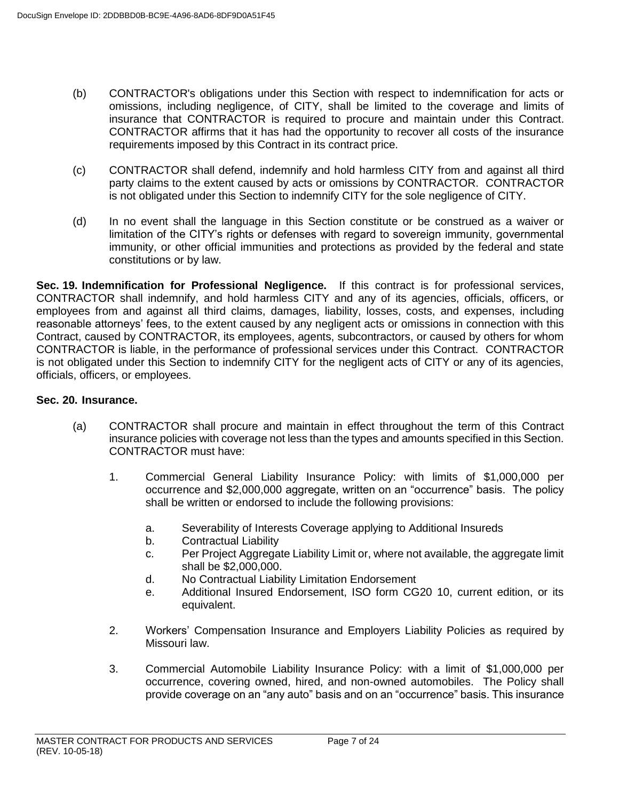- (b) CONTRACTOR's obligations under this Section with respect to indemnification for acts or omissions, including negligence, of CITY, shall be limited to the coverage and limits of insurance that CONTRACTOR is required to procure and maintain under this Contract. CONTRACTOR affirms that it has had the opportunity to recover all costs of the insurance requirements imposed by this Contract in its contract price.
- (c) CONTRACTOR shall defend, indemnify and hold harmless CITY from and against all third party claims to the extent caused by acts or omissions by CONTRACTOR. CONTRACTOR is not obligated under this Section to indemnify CITY for the sole negligence of CITY.
- (d) In no event shall the language in this Section constitute or be construed as a waiver or limitation of the CITY's rights or defenses with regard to sovereign immunity, governmental immunity, or other official immunities and protections as provided by the federal and state constitutions or by law.

**Sec. 19. Indemnification for Professional Negligence.** If this contract is for professional services, CONTRACTOR shall indemnify, and hold harmless CITY and any of its agencies, officials, officers, or employees from and against all third claims, damages, liability, losses, costs, and expenses, including reasonable attorneys' fees, to the extent caused by any negligent acts or omissions in connection with this Contract, caused by CONTRACTOR, its employees, agents, subcontractors, or caused by others for whom CONTRACTOR is liable, in the performance of professional services under this Contract. CONTRACTOR is not obligated under this Section to indemnify CITY for the negligent acts of CITY or any of its agencies, officials, officers, or employees.

## **Sec. 20. Insurance.**

- (a) CONTRACTOR shall procure and maintain in effect throughout the term of this Contract insurance policies with coverage not less than the types and amounts specified in this Section. CONTRACTOR must have:
	- 1. Commercial General Liability Insurance Policy: with limits of \$1,000,000 per occurrence and \$2,000,000 aggregate, written on an "occurrence" basis. The policy shall be written or endorsed to include the following provisions:
		- a. Severability of Interests Coverage applying to Additional Insureds
		- b. Contractual Liability
		- c. Per Project Aggregate Liability Limit or, where not available, the aggregate limit shall be \$2,000,000.
		- d. No Contractual Liability Limitation Endorsement
		- e. Additional Insured Endorsement, ISO form CG20 10, current edition, or its equivalent.
	- 2. Workers' Compensation Insurance and Employers Liability Policies as required by Missouri law.
	- 3. Commercial Automobile Liability Insurance Policy: with a limit of \$1,000,000 per occurrence, covering owned, hired, and non-owned automobiles. The Policy shall provide coverage on an "any auto" basis and on an "occurrence" basis. This insurance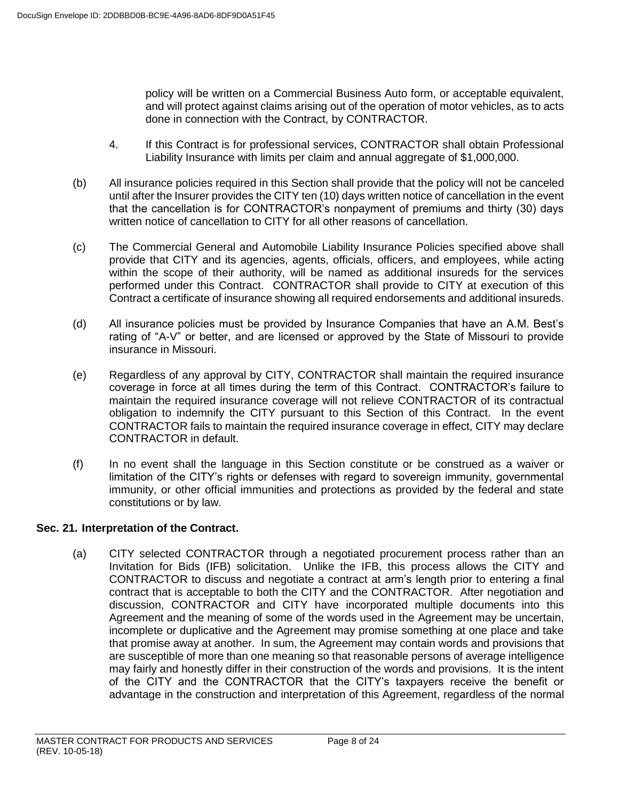policy will be written on a Commercial Business Auto form, or acceptable equivalent, and will protect against claims arising out of the operation of motor vehicles, as to acts done in connection with the Contract, by CONTRACTOR.

- 4. If this Contract is for professional services, CONTRACTOR shall obtain Professional Liability Insurance with limits per claim and annual aggregate of \$1,000,000.
- (b) All insurance policies required in this Section shall provide that the policy will not be canceled until after the Insurer provides the CITY ten (10) days written notice of cancellation in the event that the cancellation is for CONTRACTOR's nonpayment of premiums and thirty (30) days written notice of cancellation to CITY for all other reasons of cancellation.
- (c) The Commercial General and Automobile Liability Insurance Policies specified above shall provide that CITY and its agencies, agents, officials, officers, and employees, while acting within the scope of their authority, will be named as additional insureds for the services performed under this Contract. CONTRACTOR shall provide to CITY at execution of this Contract a certificate of insurance showing all required endorsements and additional insureds.
- (d) All insurance policies must be provided by Insurance Companies that have an A.M. Best's rating of "A-V" or better, and are licensed or approved by the State of Missouri to provide insurance in Missouri.
- (e) Regardless of any approval by CITY, CONTRACTOR shall maintain the required insurance coverage in force at all times during the term of this Contract. CONTRACTOR's failure to maintain the required insurance coverage will not relieve CONTRACTOR of its contractual obligation to indemnify the CITY pursuant to this Section of this Contract. In the event CONTRACTOR fails to maintain the required insurance coverage in effect, CITY may declare CONTRACTOR in default.
- (f) In no event shall the language in this Section constitute or be construed as a waiver or limitation of the CITY's rights or defenses with regard to sovereign immunity, governmental immunity, or other official immunities and protections as provided by the federal and state constitutions or by law.

# **Sec. 21. Interpretation of the Contract.**

(a) CITY selected CONTRACTOR through a negotiated procurement process rather than an Invitation for Bids (IFB) solicitation. Unlike the IFB, this process allows the CITY and CONTRACTOR to discuss and negotiate a contract at arm's length prior to entering a final contract that is acceptable to both the CITY and the CONTRACTOR. After negotiation and discussion, CONTRACTOR and CITY have incorporated multiple documents into this Agreement and the meaning of some of the words used in the Agreement may be uncertain, incomplete or duplicative and the Agreement may promise something at one place and take that promise away at another. In sum, the Agreement may contain words and provisions that are susceptible of more than one meaning so that reasonable persons of average intelligence may fairly and honestly differ in their construction of the words and provisions. It is the intent of the CITY and the CONTRACTOR that the CITY's taxpayers receive the benefit or advantage in the construction and interpretation of this Agreement, regardless of the normal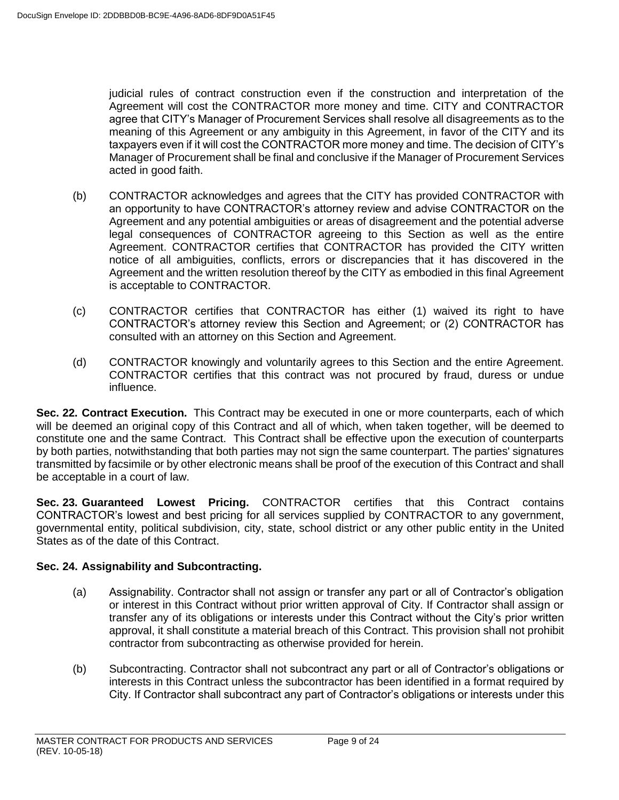judicial rules of contract construction even if the construction and interpretation of the Agreement will cost the CONTRACTOR more money and time. CITY and CONTRACTOR agree that CITY's Manager of Procurement Services shall resolve all disagreements as to the meaning of this Agreement or any ambiguity in this Agreement, in favor of the CITY and its taxpayers even if it will cost the CONTRACTOR more money and time. The decision of CITY's Manager of Procurement shall be final and conclusive if the Manager of Procurement Services acted in good faith.

- (b) CONTRACTOR acknowledges and agrees that the CITY has provided CONTRACTOR with an opportunity to have CONTRACTOR's attorney review and advise CONTRACTOR on the Agreement and any potential ambiguities or areas of disagreement and the potential adverse legal consequences of CONTRACTOR agreeing to this Section as well as the entire Agreement. CONTRACTOR certifies that CONTRACTOR has provided the CITY written notice of all ambiguities, conflicts, errors or discrepancies that it has discovered in the Agreement and the written resolution thereof by the CITY as embodied in this final Agreement is acceptable to CONTRACTOR.
- (c) CONTRACTOR certifies that CONTRACTOR has either (1) waived its right to have CONTRACTOR's attorney review this Section and Agreement; or (2) CONTRACTOR has consulted with an attorney on this Section and Agreement.
- (d) CONTRACTOR knowingly and voluntarily agrees to this Section and the entire Agreement. CONTRACTOR certifies that this contract was not procured by fraud, duress or undue influence.

**Sec. 22. Contract Execution.** This Contract may be executed in one or more counterparts, each of which will be deemed an original copy of this Contract and all of which, when taken together, will be deemed to constitute one and the same Contract. This Contract shall be effective upon the execution of counterparts by both parties, notwithstanding that both parties may not sign the same counterpart. The parties' signatures transmitted by facsimile or by other electronic means shall be proof of the execution of this Contract and shall be acceptable in a court of law.

**Sec. 23. Guaranteed Lowest Pricing.** CONTRACTOR certifies that this Contract contains CONTRACTOR's lowest and best pricing for all services supplied by CONTRACTOR to any government, governmental entity, political subdivision, city, state, school district or any other public entity in the United States as of the date of this Contract.

# **Sec. 24. Assignability and Subcontracting.**

- (a) Assignability. Contractor shall not assign or transfer any part or all of Contractor's obligation or interest in this Contract without prior written approval of City. If Contractor shall assign or transfer any of its obligations or interests under this Contract without the City's prior written approval, it shall constitute a material breach of this Contract. This provision shall not prohibit contractor from subcontracting as otherwise provided for herein.
- (b) Subcontracting. Contractor shall not subcontract any part or all of Contractor's obligations or interests in this Contract unless the subcontractor has been identified in a format required by City. If Contractor shall subcontract any part of Contractor's obligations or interests under this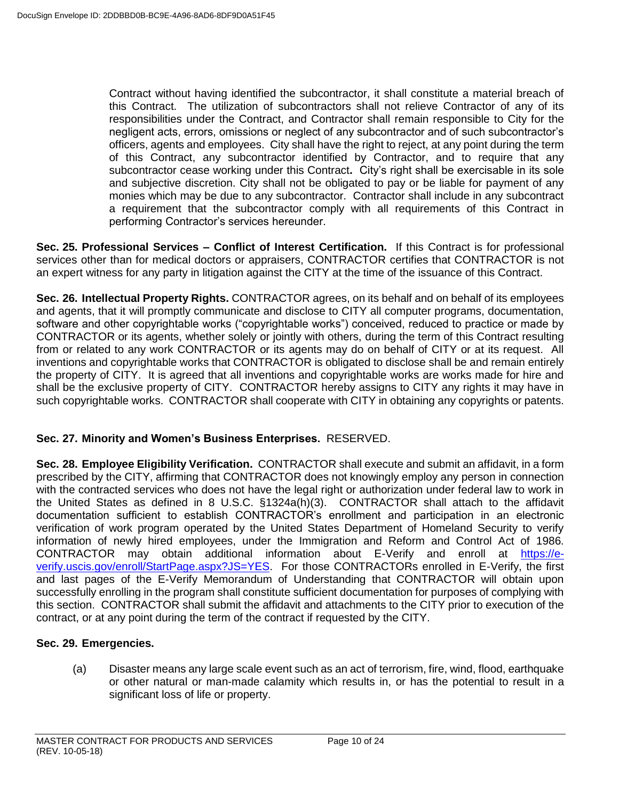Contract without having identified the subcontractor, it shall constitute a material breach of this Contract. The utilization of subcontractors shall not relieve Contractor of any of its responsibilities under the Contract, and Contractor shall remain responsible to City for the negligent acts, errors, omissions or neglect of any subcontractor and of such subcontractor's officers, agents and employees. City shall have the right to reject, at any point during the term of this Contract, any subcontractor identified by Contractor, and to require that any subcontractor cease working under this Contract**.** City's right shall be exercisable in its sole and subjective discretion. City shall not be obligated to pay or be liable for payment of any monies which may be due to any subcontractor. Contractor shall include in any subcontract a requirement that the subcontractor comply with all requirements of this Contract in performing Contractor's services hereunder.

**Sec. 25. Professional Services – Conflict of Interest Certification.** If this Contract is for professional services other than for medical doctors or appraisers, CONTRACTOR certifies that CONTRACTOR is not an expert witness for any party in litigation against the CITY at the time of the issuance of this Contract.

**Sec. 26. Intellectual Property Rights.** CONTRACTOR agrees, on its behalf and on behalf of its employees and agents, that it will promptly communicate and disclose to CITY all computer programs, documentation, software and other copyrightable works ("copyrightable works") conceived, reduced to practice or made by CONTRACTOR or its agents, whether solely or jointly with others, during the term of this Contract resulting from or related to any work CONTRACTOR or its agents may do on behalf of CITY or at its request. All inventions and copyrightable works that CONTRACTOR is obligated to disclose shall be and remain entirely the property of CITY. It is agreed that all inventions and copyrightable works are works made for hire and shall be the exclusive property of CITY. CONTRACTOR hereby assigns to CITY any rights it may have in such copyrightable works. CONTRACTOR shall cooperate with CITY in obtaining any copyrights or patents.

# **Sec. 27. Minority and Women's Business Enterprises.** RESERVED.

**Sec. 28. Employee Eligibility Verification.** CONTRACTOR shall execute and submit an affidavit, in a form prescribed by the CITY, affirming that CONTRACTOR does not knowingly employ any person in connection with the contracted services who does not have the legal right or authorization under federal law to work in the United States as defined in 8 U.S.C. §1324a(h)(3). CONTRACTOR shall attach to the affidavit documentation sufficient to establish CONTRACTOR's enrollment and participation in an electronic verification of work program operated by the United States Department of Homeland Security to verify information of newly hired employees, under the Immigration and Reform and Control Act of 1986. CONTRACTOR may obtain additional information about E-Verify and enroll at [https://e](https://e-verify.uscis.gov/enroll/StartPage.aspx?JS=YES)[verify.uscis.gov/enroll/StartPage.aspx?JS=YES.](https://e-verify.uscis.gov/enroll/StartPage.aspx?JS=YES) For those CONTRACTORs enrolled in E-Verify, the first and last pages of the E-Verify Memorandum of Understanding that CONTRACTOR will obtain upon successfully enrolling in the program shall constitute sufficient documentation for purposes of complying with this section. CONTRACTOR shall submit the affidavit and attachments to the CITY prior to execution of the contract, or at any point during the term of the contract if requested by the CITY.

# **Sec. 29. Emergencies.**

(a) Disaster means any large scale event such as an act of terrorism, fire, wind, flood, earthquake or other natural or man-made calamity which results in, or has the potential to result in a significant loss of life or property.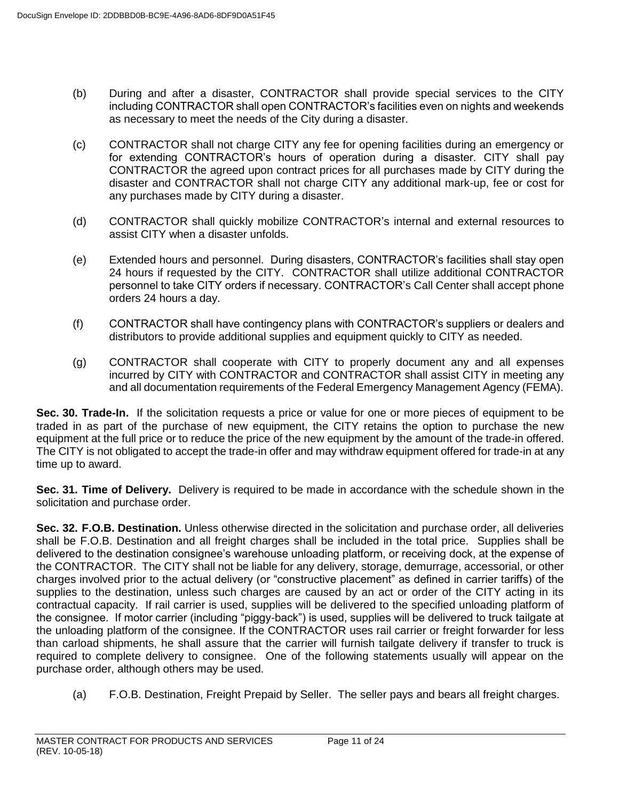- (b) During and after a disaster, CONTRACTOR shall provide special services to the CITY including CONTRACTOR shall open CONTRACTOR's facilities even on nights and weekends as necessary to meet the needs of the City during a disaster.
- (c) CONTRACTOR shall not charge CITY any fee for opening facilities during an emergency or for extending CONTRACTOR's hours of operation during a disaster. CITY shall pay CONTRACTOR the agreed upon contract prices for all purchases made by CITY during the disaster and CONTRACTOR shall not charge CITY any additional mark-up, fee or cost for any purchases made by CITY during a disaster.
- (d) CONTRACTOR shall quickly mobilize CONTRACTOR's internal and external resources to assist CITY when a disaster unfolds.
- (e) Extended hours and personnel. During disasters, CONTRACTOR's facilities shall stay open 24 hours if requested by the CITY. CONTRACTOR shall utilize additional CONTRACTOR personnel to take CITY orders if necessary. CONTRACTOR's Call Center shall accept phone orders 24 hours a day.
- (f) CONTRACTOR shall have contingency plans with CONTRACTOR's suppliers or dealers and distributors to provide additional supplies and equipment quickly to CITY as needed.
- (g) CONTRACTOR shall cooperate with CITY to properly document any and all expenses incurred by CITY with CONTRACTOR and CONTRACTOR shall assist CITY in meeting any and all documentation requirements of the Federal Emergency Management Agency (FEMA).

**Sec. 30. Trade-In.** If the solicitation requests a price or value for one or more pieces of equipment to be traded in as part of the purchase of new equipment, the CITY retains the option to purchase the new equipment at the full price or to reduce the price of the new equipment by the amount of the trade-in offered. The CITY is not obligated to accept the trade-in offer and may withdraw equipment offered for trade-in at any time up to award.

**Sec. 31. Time of Delivery.** Delivery is required to be made in accordance with the schedule shown in the solicitation and purchase order.

**Sec. 32. F.O.B. Destination.** Unless otherwise directed in the solicitation and purchase order, all deliveries shall be F.O.B. Destination and all freight charges shall be included in the total price. Supplies shall be delivered to the destination consignee's warehouse unloading platform, or receiving dock, at the expense of the CONTRACTOR. The CITY shall not be liable for any delivery, storage, demurrage, accessorial, or other charges involved prior to the actual delivery (or "constructive placement" as defined in carrier tariffs) of the supplies to the destination, unless such charges are caused by an act or order of the CITY acting in its contractual capacity. If rail carrier is used, supplies will be delivered to the specified unloading platform of the consignee. If motor carrier (including "piggy-back") is used, supplies will be delivered to truck tailgate at the unloading platform of the consignee. If the CONTRACTOR uses rail carrier or freight forwarder for less than carload shipments, he shall assure that the carrier will furnish tailgate delivery if transfer to truck is required to complete delivery to consignee. One of the following statements usually will appear on the purchase order, although others may be used.

(a) F.O.B. Destination, Freight Prepaid by Seller. The seller pays and bears all freight charges.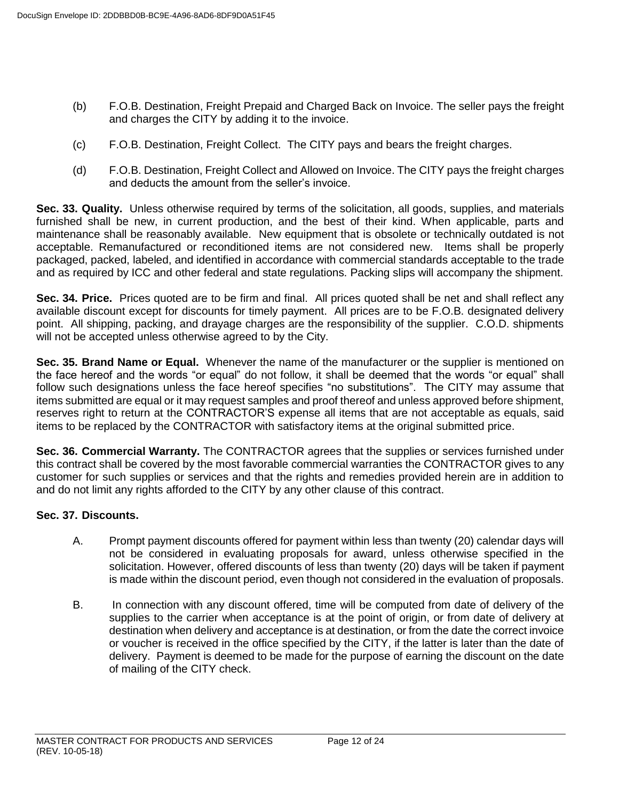- (b) F.O.B. Destination, Freight Prepaid and Charged Back on Invoice. The seller pays the freight and charges the CITY by adding it to the invoice.
- (c) F.O.B. Destination, Freight Collect. The CITY pays and bears the freight charges.
- (d) F.O.B. Destination, Freight Collect and Allowed on Invoice. The CITY pays the freight charges and deducts the amount from the seller's invoice.

**Sec. 33. Quality.** Unless otherwise required by terms of the solicitation, all goods, supplies, and materials furnished shall be new, in current production, and the best of their kind. When applicable, parts and maintenance shall be reasonably available. New equipment that is obsolete or technically outdated is not acceptable. Remanufactured or reconditioned items are not considered new. Items shall be properly packaged, packed, labeled, and identified in accordance with commercial standards acceptable to the trade and as required by ICC and other federal and state regulations. Packing slips will accompany the shipment.

**Sec. 34. Price.** Prices quoted are to be firm and final. All prices quoted shall be net and shall reflect any available discount except for discounts for timely payment. All prices are to be F.O.B. designated delivery point. All shipping, packing, and drayage charges are the responsibility of the supplier. C.O.D. shipments will not be accepted unless otherwise agreed to by the City.

**Sec. 35. Brand Name or Equal.** Whenever the name of the manufacturer or the supplier is mentioned on the face hereof and the words "or equal" do not follow, it shall be deemed that the words "or equal" shall follow such designations unless the face hereof specifies "no substitutions". The CITY may assume that items submitted are equal or it may request samples and proof thereof and unless approved before shipment, reserves right to return at the CONTRACTOR'S expense all items that are not acceptable as equals, said items to be replaced by the CONTRACTOR with satisfactory items at the original submitted price.

**Sec. 36. Commercial Warranty.** The CONTRACTOR agrees that the supplies or services furnished under this contract shall be covered by the most favorable commercial warranties the CONTRACTOR gives to any customer for such supplies or services and that the rights and remedies provided herein are in addition to and do not limit any rights afforded to the CITY by any other clause of this contract.

## **Sec. 37. Discounts.**

- A. Prompt payment discounts offered for payment within less than twenty (20) calendar days will not be considered in evaluating proposals for award, unless otherwise specified in the solicitation. However, offered discounts of less than twenty (20) days will be taken if payment is made within the discount period, even though not considered in the evaluation of proposals.
- B. In connection with any discount offered, time will be computed from date of delivery of the supplies to the carrier when acceptance is at the point of origin, or from date of delivery at destination when delivery and acceptance is at destination, or from the date the correct invoice or voucher is received in the office specified by the CITY, if the latter is later than the date of delivery. Payment is deemed to be made for the purpose of earning the discount on the date of mailing of the CITY check.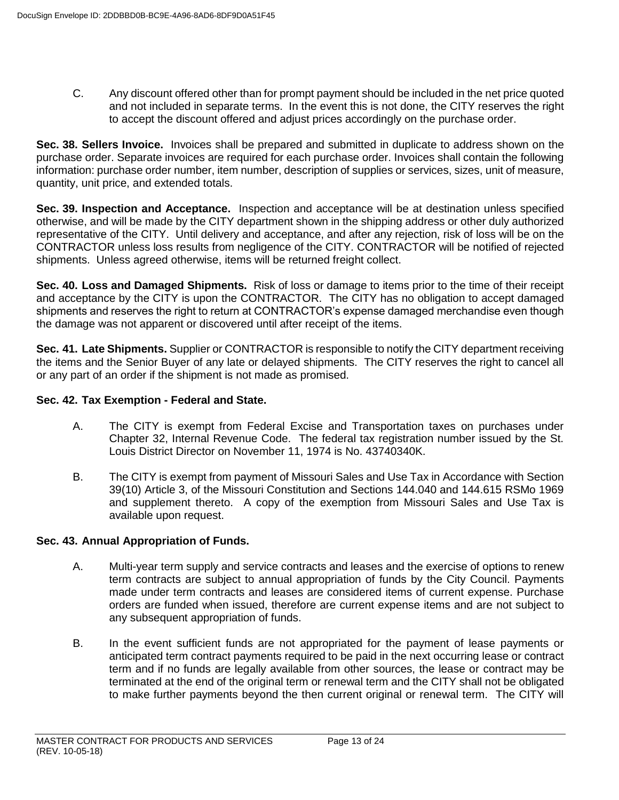C. Any discount offered other than for prompt payment should be included in the net price quoted and not included in separate terms. In the event this is not done, the CITY reserves the right to accept the discount offered and adjust prices accordingly on the purchase order.

**Sec. 38. Sellers Invoice.** Invoices shall be prepared and submitted in duplicate to address shown on the purchase order. Separate invoices are required for each purchase order. Invoices shall contain the following information: purchase order number, item number, description of supplies or services, sizes, unit of measure, quantity, unit price, and extended totals.

**Sec. 39. Inspection and Acceptance.** Inspection and acceptance will be at destination unless specified otherwise, and will be made by the CITY department shown in the shipping address or other duly authorized representative of the CITY. Until delivery and acceptance, and after any rejection, risk of loss will be on the CONTRACTOR unless loss results from negligence of the CITY. CONTRACTOR will be notified of rejected shipments. Unless agreed otherwise, items will be returned freight collect.

**Sec. 40. Loss and Damaged Shipments.** Risk of loss or damage to items prior to the time of their receipt and acceptance by the CITY is upon the CONTRACTOR. The CITY has no obligation to accept damaged shipments and reserves the right to return at CONTRACTOR's expense damaged merchandise even though the damage was not apparent or discovered until after receipt of the items.

**Sec. 41. Late Shipments.** Supplier or CONTRACTOR is responsible to notify the CITY department receiving the items and the Senior Buyer of any late or delayed shipments. The CITY reserves the right to cancel all or any part of an order if the shipment is not made as promised.

## **Sec. 42. Tax Exemption - Federal and State.**

- A. The CITY is exempt from Federal Excise and Transportation taxes on purchases under Chapter 32, Internal Revenue Code. The federal tax registration number issued by the St. Louis District Director on November 11, 1974 is No. 43740340K.
- B. The CITY is exempt from payment of Missouri Sales and Use Tax in Accordance with Section 39(10) Article 3, of the Missouri Constitution and Sections 144.040 and 144.615 RSMo 1969 and supplement thereto. A copy of the exemption from Missouri Sales and Use Tax is available upon request.

## **Sec. 43. Annual Appropriation of Funds.**

- A. Multi-year term supply and service contracts and leases and the exercise of options to renew term contracts are subject to annual appropriation of funds by the City Council. Payments made under term contracts and leases are considered items of current expense. Purchase orders are funded when issued, therefore are current expense items and are not subject to any subsequent appropriation of funds.
- B. In the event sufficient funds are not appropriated for the payment of lease payments or anticipated term contract payments required to be paid in the next occurring lease or contract term and if no funds are legally available from other sources, the lease or contract may be terminated at the end of the original term or renewal term and the CITY shall not be obligated to make further payments beyond the then current original or renewal term. The CITY will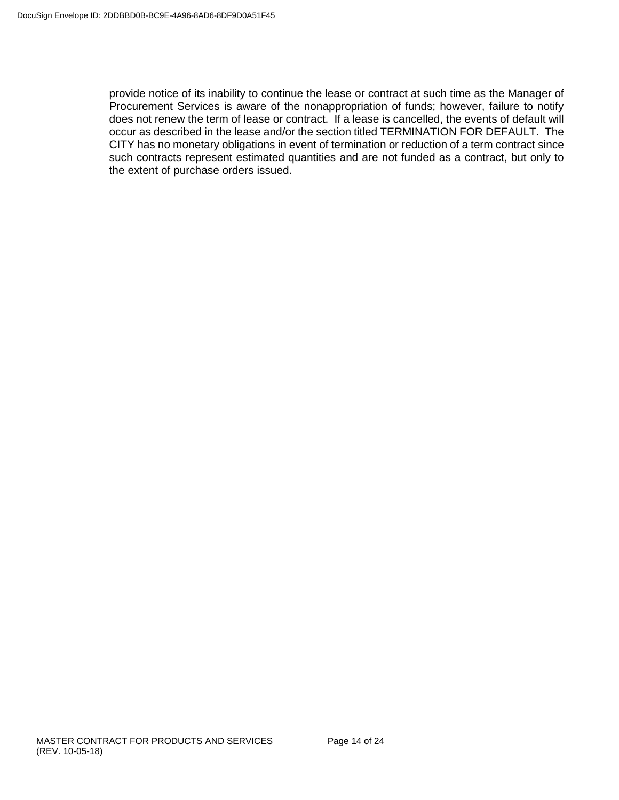provide notice of its inability to continue the lease or contract at such time as the Manager of Procurement Services is aware of the nonappropriation of funds; however, failure to notify does not renew the term of lease or contract. If a lease is cancelled, the events of default will occur as described in the lease and/or the section titled TERMINATION FOR DEFAULT. The CITY has no monetary obligations in event of termination or reduction of a term contract since such contracts represent estimated quantities and are not funded as a contract, but only to the extent of purchase orders issued.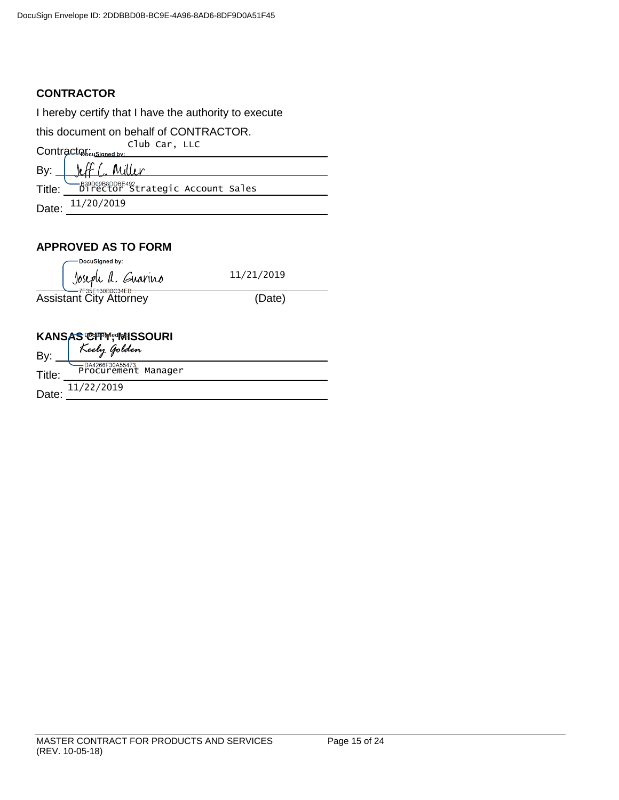# **CONTRACTOR**

I hereby certify that I have the authority to execute

this document on behalf of CONTRACTOR. Contractor: Club Car, LLC

| Bv:    | $\mathcal{L}$                                        |
|--------|------------------------------------------------------|
| Title: | -B29D09B8DDBE492<br>Director Strategic Account Sales |
| Date:  | 11/20/2019                                           |

# **APPROVED AS TO FORM**

| DocuSigned by:                                                             |            |  |
|----------------------------------------------------------------------------|------------|--|
| Joseph A. Guarino                                                          | 11/21/2019 |  |
| 7F35E130B0C34EB <del></del><br><b>Assistant City Attorney</b>              | (Date)     |  |
|                                                                            |            |  |
|                                                                            |            |  |
|                                                                            |            |  |
| <b>KANSAS CIFM; MISSOURI</b><br>R <sub>N:</sub> <i>Keely Golden</i><br>By: |            |  |
| DA4266F30A55473<br>Procurement Manager<br>Title:                           |            |  |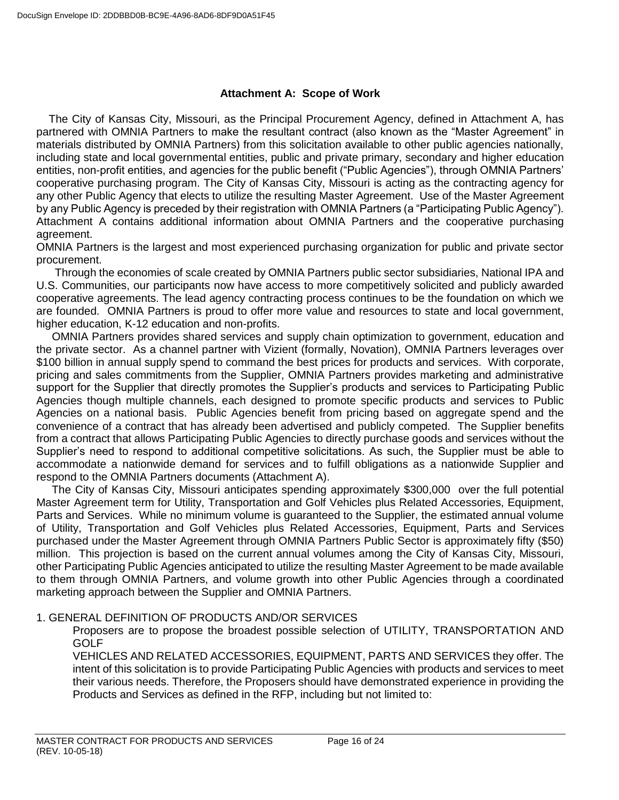## **Attachment A: Scope of Work**

 The City of Kansas City, Missouri, as the Principal Procurement Agency, defined in Attachment A, has partnered with OMNIA Partners to make the resultant contract (also known as the "Master Agreement" in materials distributed by OMNIA Partners) from this solicitation available to other public agencies nationally, including state and local governmental entities, public and private primary, secondary and higher education entities, non-profit entities, and agencies for the public benefit ("Public Agencies"), through OMNIA Partners' cooperative purchasing program. The City of Kansas City, Missouri is acting as the contracting agency for any other Public Agency that elects to utilize the resulting Master Agreement. Use of the Master Agreement by any Public Agency is preceded by their registration with OMNIA Partners (a "Participating Public Agency"). Attachment A contains additional information about OMNIA Partners and the cooperative purchasing agreement.

OMNIA Partners is the largest and most experienced purchasing organization for public and private sector procurement.

 Through the economies of scale created by OMNIA Partners public sector subsidiaries, National IPA and U.S. Communities, our participants now have access to more competitively solicited and publicly awarded cooperative agreements. The lead agency contracting process continues to be the foundation on which we are founded. OMNIA Partners is proud to offer more value and resources to state and local government, higher education, K-12 education and non-profits.

 OMNIA Partners provides shared services and supply chain optimization to government, education and the private sector. As a channel partner with Vizient (formally, Novation), OMNIA Partners leverages over \$100 billion in annual supply spend to command the best prices for products and services. With corporate, pricing and sales commitments from the Supplier, OMNIA Partners provides marketing and administrative support for the Supplier that directly promotes the Supplier's products and services to Participating Public Agencies though multiple channels, each designed to promote specific products and services to Public Agencies on a national basis. Public Agencies benefit from pricing based on aggregate spend and the convenience of a contract that has already been advertised and publicly competed. The Supplier benefits from a contract that allows Participating Public Agencies to directly purchase goods and services without the Supplier's need to respond to additional competitive solicitations. As such, the Supplier must be able to accommodate a nationwide demand for services and to fulfill obligations as a nationwide Supplier and respond to the OMNIA Partners documents (Attachment A).

 The City of Kansas City, Missouri anticipates spending approximately \$300,000 over the full potential Master Agreement term for Utility, Transportation and Golf Vehicles plus Related Accessories, Equipment, Parts and Services. While no minimum volume is guaranteed to the Supplier, the estimated annual volume of Utility, Transportation and Golf Vehicles plus Related Accessories, Equipment, Parts and Services purchased under the Master Agreement through OMNIA Partners Public Sector is approximately fifty (\$50) million. This projection is based on the current annual volumes among the City of Kansas City, Missouri, other Participating Public Agencies anticipated to utilize the resulting Master Agreement to be made available to them through OMNIA Partners, and volume growth into other Public Agencies through a coordinated marketing approach between the Supplier and OMNIA Partners.

## 1. GENERAL DEFINITION OF PRODUCTS AND/OR SERVICES

Proposers are to propose the broadest possible selection of UTILITY, TRANSPORTATION AND GOLF

VEHICLES AND RELATED ACCESSORIES, EQUIPMENT, PARTS AND SERVICES they offer. The intent of this solicitation is to provide Participating Public Agencies with products and services to meet their various needs. Therefore, the Proposers should have demonstrated experience in providing the Products and Services as defined in the RFP, including but not limited to: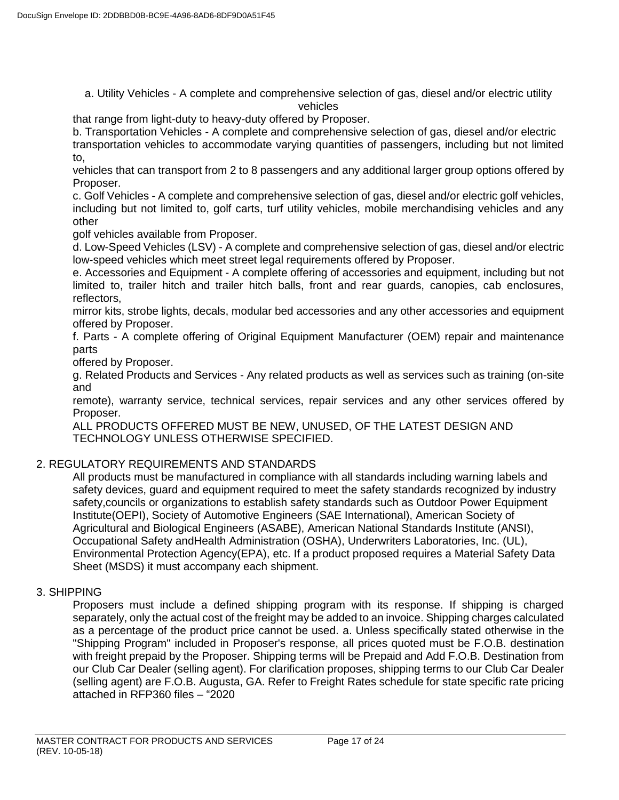a. Utility Vehicles - A complete and comprehensive selection of gas, diesel and/or electric utility vehicles

that range from light-duty to heavy-duty offered by Proposer.

b. Transportation Vehicles - A complete and comprehensive selection of gas, diesel and/or electric transportation vehicles to accommodate varying quantities of passengers, including but not limited to,

vehicles that can transport from 2 to 8 passengers and any additional larger group options offered by Proposer.

c. Golf Vehicles - A complete and comprehensive selection of gas, diesel and/or electric golf vehicles, including but not limited to, golf carts, turf utility vehicles, mobile merchandising vehicles and any other

golf vehicles available from Proposer.

d. Low-Speed Vehicles (LSV) - A complete and comprehensive selection of gas, diesel and/or electric low-speed vehicles which meet street legal requirements offered by Proposer.

e. Accessories and Equipment - A complete offering of accessories and equipment, including but not limited to, trailer hitch and trailer hitch balls, front and rear guards, canopies, cab enclosures, reflectors,

mirror kits, strobe lights, decals, modular bed accessories and any other accessories and equipment offered by Proposer.

f. Parts - A complete offering of Original Equipment Manufacturer (OEM) repair and maintenance parts

offered by Proposer.

g. Related Products and Services - Any related products as well as services such as training (on-site and

remote), warranty service, technical services, repair services and any other services offered by Proposer.

ALL PRODUCTS OFFERED MUST BE NEW, UNUSED, OF THE LATEST DESIGN AND TECHNOLOGY UNLESS OTHERWISE SPECIFIED.

# 2. REGULATORY REQUIREMENTS AND STANDARDS

All products must be manufactured in compliance with all standards including warning labels and safety devices, guard and equipment required to meet the safety standards recognized by industry safety,councils or organizations to establish safety standards such as Outdoor Power Equipment Institute(OEPI), Society of Automotive Engineers (SAE International), American Society of Agricultural and Biological Engineers (ASABE), American National Standards Institute (ANSI), Occupational Safety andHealth Administration (OSHA), Underwriters Laboratories, Inc. (UL), Environmental Protection Agency(EPA), etc. If a product proposed requires a Material Safety Data Sheet (MSDS) it must accompany each shipment.

## 3. SHIPPING

Proposers must include a defined shipping program with its response. If shipping is charged separately, only the actual cost of the freight may be added to an invoice. Shipping charges calculated as a percentage of the product price cannot be used. a. Unless specifically stated otherwise in the "Shipping Program" included in Proposer's response, all prices quoted must be F.O.B. destination with freight prepaid by the Proposer. Shipping terms will be Prepaid and Add F.O.B. Destination from our Club Car Dealer (selling agent). For clarification proposes, shipping terms to our Club Car Dealer (selling agent) are F.O.B. Augusta, GA. Refer to Freight Rates schedule for state specific rate pricing attached in RFP360 files – "2020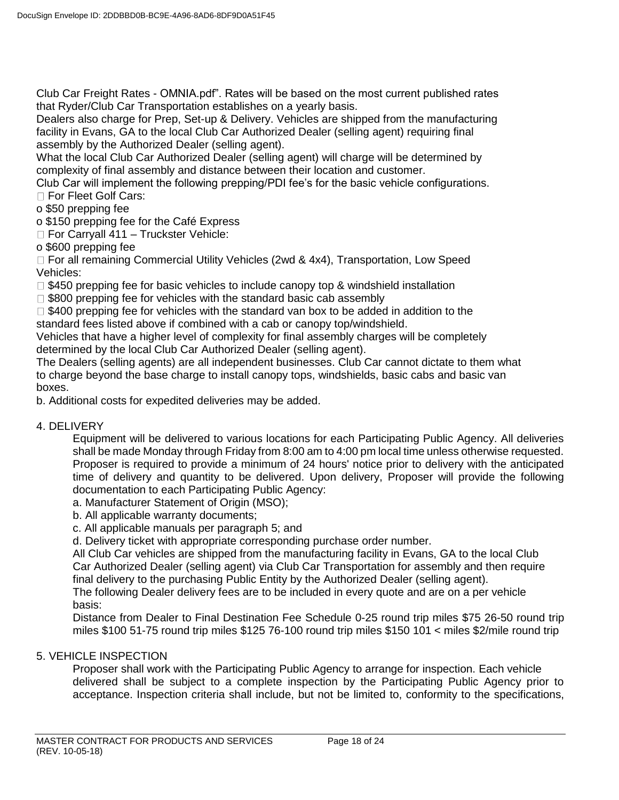Club Car Freight Rates - OMNIA.pdf". Rates will be based on the most current published rates that Ryder/Club Car Transportation establishes on a yearly basis.

Dealers also charge for Prep, Set-up & Delivery. Vehicles are shipped from the manufacturing facility in Evans, GA to the local Club Car Authorized Dealer (selling agent) requiring final assembly by the Authorized Dealer (selling agent).

What the local Club Car Authorized Dealer (selling agent) will charge will be determined by complexity of final assembly and distance between their location and customer.

Club Car will implement the following prepping/PDI fee's for the basic vehicle configurations. □ For Fleet Golf Cars:

o \$50 prepping fee

o \$150 prepping fee for the Café Express

□ For Carryall 411 – Truckster Vehicle:

o \$600 prepping fee

 $\Box$  For all remaining Commercial Utility Vehicles (2wd & 4x4), Transportation, Low Speed Vehicles:

 $\Box$  \$450 prepping fee for basic vehicles to include canopy top & windshield installation

 $\Box$  \$800 prepping fee for vehicles with the standard basic cab assembly

 $\Box$  \$400 prepping fee for vehicles with the standard van box to be added in addition to the standard fees listed above if combined with a cab or canopy top/windshield.

Vehicles that have a higher level of complexity for final assembly charges will be completely determined by the local Club Car Authorized Dealer (selling agent).

The Dealers (selling agents) are all independent businesses. Club Car cannot dictate to them what to charge beyond the base charge to install canopy tops, windshields, basic cabs and basic van boxes.

b. Additional costs for expedited deliveries may be added.

## 4. DELIVERY

Equipment will be delivered to various locations for each Participating Public Agency. All deliveries shall be made Monday through Friday from 8:00 am to 4:00 pm local time unless otherwise requested. Proposer is required to provide a minimum of 24 hours' notice prior to delivery with the anticipated time of delivery and quantity to be delivered. Upon delivery, Proposer will provide the following documentation to each Participating Public Agency:

a. Manufacturer Statement of Origin (MSO);

b. All applicable warranty documents;

c. All applicable manuals per paragraph 5; and

d. Delivery ticket with appropriate corresponding purchase order number.

All Club Car vehicles are shipped from the manufacturing facility in Evans, GA to the local Club Car Authorized Dealer (selling agent) via Club Car Transportation for assembly and then require final delivery to the purchasing Public Entity by the Authorized Dealer (selling agent).

The following Dealer delivery fees are to be included in every quote and are on a per vehicle basis:

Distance from Dealer to Final Destination Fee Schedule 0-25 round trip miles \$75 26-50 round trip miles \$100 51-75 round trip miles \$125 76-100 round trip miles \$150 101 < miles \$2/mile round trip

## 5. VEHICLE INSPECTION

Proposer shall work with the Participating Public Agency to arrange for inspection. Each vehicle delivered shall be subject to a complete inspection by the Participating Public Agency prior to acceptance. Inspection criteria shall include, but not be limited to, conformity to the specifications,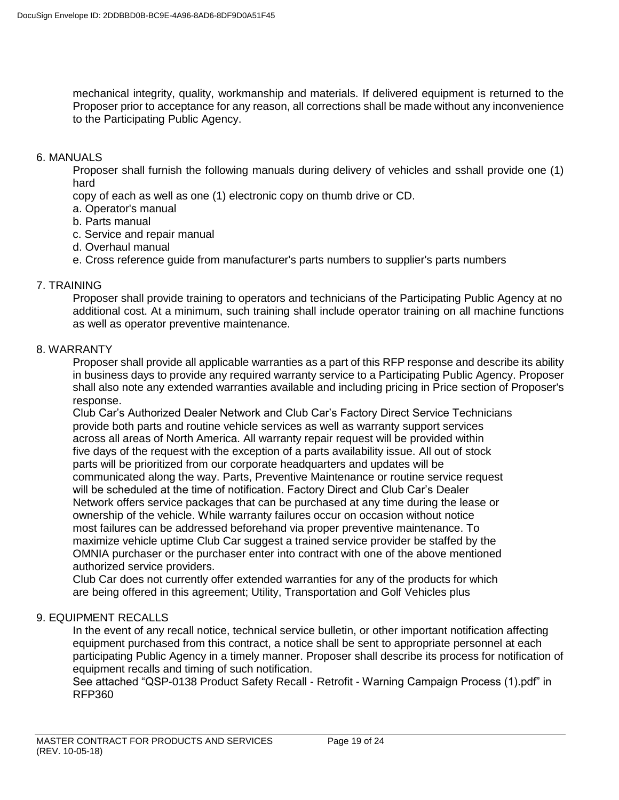mechanical integrity, quality, workmanship and materials. If delivered equipment is returned to the Proposer prior to acceptance for any reason, all corrections shall be made without any inconvenience to the Participating Public Agency.

#### 6. MANUALS

Proposer shall furnish the following manuals during delivery of vehicles and sshall provide one (1) hard

copy of each as well as one (1) electronic copy on thumb drive or CD.

- a. Operator's manual
- b. Parts manual
- c. Service and repair manual
- d. Overhaul manual
- e. Cross reference guide from manufacturer's parts numbers to supplier's parts numbers

### 7. TRAINING

Proposer shall provide training to operators and technicians of the Participating Public Agency at no additional cost. At a minimum, such training shall include operator training on all machine functions as well as operator preventive maintenance.

### 8. WARRANTY

Proposer shall provide all applicable warranties as a part of this RFP response and describe its ability in business days to provide any required warranty service to a Participating Public Agency. Proposer shall also note any extended warranties available and including pricing in Price section of Proposer's response.

Club Car's Authorized Dealer Network and Club Car's Factory Direct Service Technicians provide both parts and routine vehicle services as well as warranty support services across all areas of North America. All warranty repair request will be provided within five days of the request with the exception of a parts availability issue. All out of stock parts will be prioritized from our corporate headquarters and updates will be communicated along the way. Parts, Preventive Maintenance or routine service request will be scheduled at the time of notification. Factory Direct and Club Car's Dealer Network offers service packages that can be purchased at any time during the lease or ownership of the vehicle. While warranty failures occur on occasion without notice most failures can be addressed beforehand via proper preventive maintenance. To maximize vehicle uptime Club Car suggest a trained service provider be staffed by the OMNIA purchaser or the purchaser enter into contract with one of the above mentioned authorized service providers.

Club Car does not currently offer extended warranties for any of the products for which are being offered in this agreement; Utility, Transportation and Golf Vehicles plus

#### 9. EQUIPMENT RECALLS

In the event of any recall notice, technical service bulletin, or other important notification affecting equipment purchased from this contract, a notice shall be sent to appropriate personnel at each participating Public Agency in a timely manner. Proposer shall describe its process for notification of equipment recalls and timing of such notification.

See attached "QSP-0138 Product Safety Recall - Retrofit - Warning Campaign Process (1).pdf" in RFP360